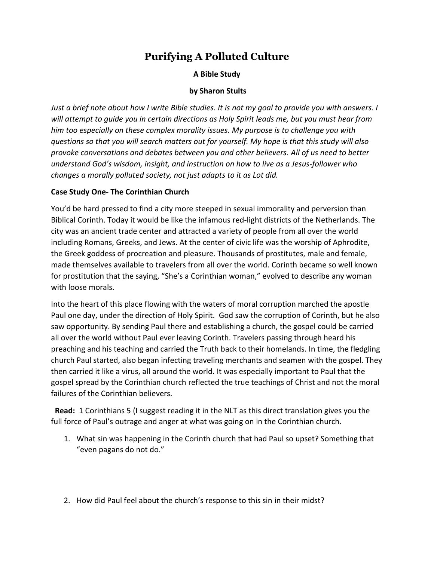# **Purifying A Polluted Culture**

## **A Bible Study**

### **by Sharon Stults**

*Just a brief note about how I write Bible studies. It is not my goal to provide you with answers. I will attempt to guide you in certain directions as Holy Spirit leads me, but you must hear from him too especially on these complex morality issues. My purpose is to challenge you with questions so that you will search matters out for yourself. My hope is that this study will also provoke conversations and debates between you and other believers. All of us need to better understand God's wisdom, insight, and instruction on how to live as a Jesus-follower who changes a morally polluted society, not just adapts to it as Lot did.*

### **Case Study One- The Corinthian Church**

You'd be hard pressed to find a city more steeped in sexual immorality and perversion than Biblical Corinth. Today it would be like the infamous red-light districts of the Netherlands. The city was an ancient trade center and attracted a variety of people from all over the world including Romans, Greeks, and Jews. At the center of civic life was the worship of Aphrodite, the Greek goddess of procreation and pleasure. Thousands of prostitutes, male and female, made themselves available to travelers from all over the world. Corinth became so well known for prostitution that the saying, "She's a Corinthian woman," evolved to describe any woman with loose morals.

Into the heart of this place flowing with the waters of moral corruption marched the apostle Paul one day, under the direction of Holy Spirit. God saw the corruption of Corinth, but he also saw opportunity. By sending Paul there and establishing a church, the gospel could be carried all over the world without Paul ever leaving Corinth. Travelers passing through heard his preaching and his teaching and carried the Truth back to their homelands. In time, the fledgling church Paul started, also began infecting traveling merchants and seamen with the gospel. They then carried it like a virus, all around the world. It was especially important to Paul that the gospel spread by the Corinthian church reflected the true teachings of Christ and not the moral failures of the Corinthian believers.

**Read:** 1 Corinthians 5 (I suggest reading it in the NLT as this direct translation gives you the full force of Paul's outrage and anger at what was going on in the Corinthian church.

- 1. What sin was happening in the Corinth church that had Paul so upset? Something that "even pagans do not do."
- 2. How did Paul feel about the church's response to this sin in their midst?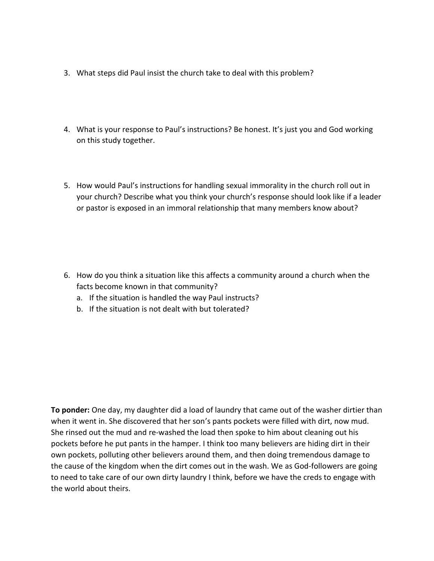- 3. What steps did Paul insist the church take to deal with this problem?
- 4. What is your response to Paul's instructions? Be honest. It's just you and God working on this study together.
- 5. How would Paul's instructions for handling sexual immorality in the church roll out in your church? Describe what you think your church's response should look like if a leader or pastor is exposed in an immoral relationship that many members know about?

- 6. How do you think a situation like this affects a community around a church when the facts become known in that community?
	- a. If the situation is handled the way Paul instructs?
	- b. If the situation is not dealt with but tolerated?

**To ponder:** One day, my daughter did a load of laundry that came out of the washer dirtier than when it went in. She discovered that her son's pants pockets were filled with dirt, now mud. She rinsed out the mud and re-washed the load then spoke to him about cleaning out his pockets before he put pants in the hamper. I think too many believers are hiding dirt in their own pockets, polluting other believers around them, and then doing tremendous damage to the cause of the kingdom when the dirt comes out in the wash. We as God-followers are going to need to take care of our own dirty laundry I think, before we have the creds to engage with the world about theirs.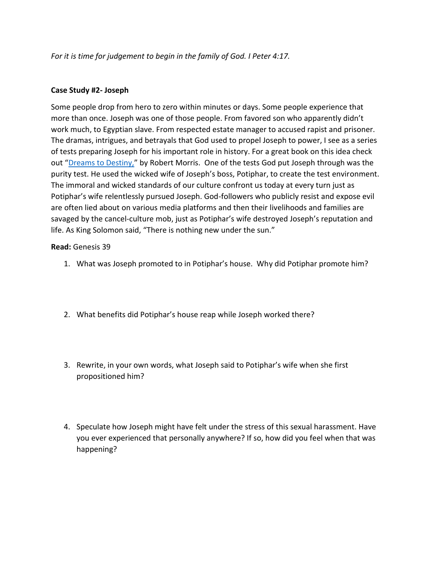*For it is time for judgement to begin in the family of God. I Peter 4:17.* 

### **Case Study #2- Joseph**

Some people drop from hero to zero within minutes or days. Some people experience that more than once. Joseph was one of those people. From favored son who apparently didn't work much, to Egyptian slave. From respected estate manager to accused rapist and prisoner. The dramas, intrigues, and betrayals that God used to propel Joseph to power, I see as a series of tests preparing Joseph for his important role in history. For a great book on this idea check out "[Dreams to Destiny,](https://www.christianbook.com/dream-destiny-tests-through-fulfill-purpose/robert-morris/9780764217104/pd/217104)" by Robert Morris. One of the tests God put Joseph through was the purity test. He used the wicked wife of Joseph's boss, Potiphar, to create the test environment. The immoral and wicked standards of our culture confront us today at every turn just as Potiphar's wife relentlessly pursued Joseph. God-followers who publicly resist and expose evil are often lied about on various media platforms and then their livelihoods and families are savaged by the cancel-culture mob, just as Potiphar's wife destroyed Joseph's reputation and life. As King Solomon said, "There is nothing new under the sun."

### **Read:** Genesis 39

- 1. What was Joseph promoted to in Potiphar's house. Why did Potiphar promote him?
- 2. What benefits did Potiphar's house reap while Joseph worked there?
- 3. Rewrite, in your own words, what Joseph said to Potiphar's wife when she first propositioned him?
- 4. Speculate how Joseph might have felt under the stress of this sexual harassment. Have you ever experienced that personally anywhere? If so, how did you feel when that was happening?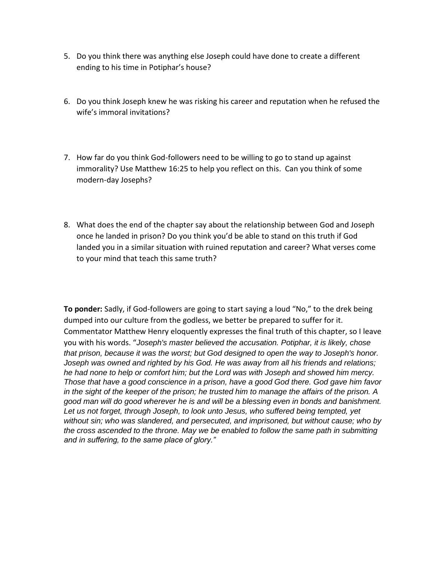- 5. Do you think there was anything else Joseph could have done to create a different ending to his time in Potiphar's house?
- 6. Do you think Joseph knew he was risking his career and reputation when he refused the wife's immoral invitations?
- 7. How far do you think God-followers need to be willing to go to stand up against immorality? Use Matthew 16:25 to help you reflect on this. Can you think of some modern-day Josephs?
- 8. What does the end of the chapter say about the relationship between God and Joseph once he landed in prison? Do you think you'd be able to stand on this truth if God landed you in a similar situation with ruined reputation and career? What verses come to your mind that teach this same truth?

**To ponder:** Sadly, if God-followers are going to start saying a loud "No," to the drek being dumped into our culture from the godless, we better be prepared to suffer for it. Commentator Matthew Henry eloquently expresses the final truth of this chapter, so I leave you with his words. "*Joseph's master believed the accusation. Potiphar, it is likely, chose that prison, because it was the worst; but God designed to open the way to Joseph's honor. Joseph was owned and righted by his God. He was away from all his friends and relations; he had none to help or comfort him; but the Lord was with Joseph and showed him mercy. Those that have a good conscience in a prison, have a good God there. God gave him favor in the sight of the keeper of the prison; he trusted him to manage the affairs of the prison. A good man will do good wherever he is and will be a blessing even in bonds and banishment. Let us not forget, through Joseph, to look unto Jesus, who suffered being tempted, yet without sin; who was slandered, and persecuted, and imprisoned, but without cause; who by the cross ascended to the throne. May we be enabled to follow the same path in submitting and in suffering, to the same place of glory."*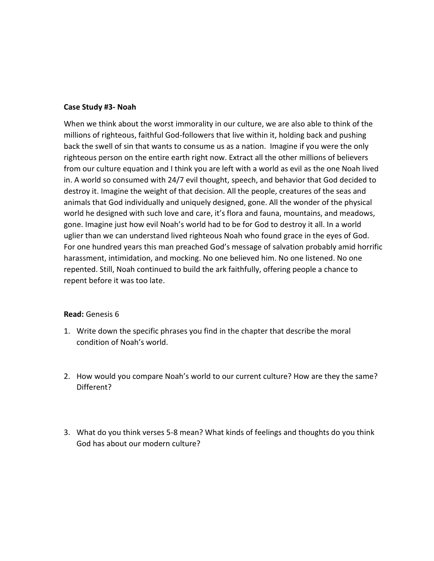#### **Case Study #3- Noah**

When we think about the worst immorality in our culture, we are also able to think of the millions of righteous, faithful God-followers that live within it, holding back and pushing back the swell of sin that wants to consume us as a nation. Imagine if you were the only righteous person on the entire earth right now. Extract all the other millions of believers from our culture equation and I think you are left with a world as evil as the one Noah lived in. A world so consumed with 24/7 evil thought, speech, and behavior that God decided to destroy it. Imagine the weight of that decision. All the people, creatures of the seas and animals that God individually and uniquely designed, gone. All the wonder of the physical world he designed with such love and care, it's flora and fauna, mountains, and meadows, gone. Imagine just how evil Noah's world had to be for God to destroy it all. In a world uglier than we can understand lived righteous Noah who found grace in the eyes of God. For one hundred years this man preached God's message of salvation probably amid horrific harassment, intimidation, and mocking. No one believed him. No one listened. No one repented. Still, Noah continued to build the ark faithfully, offering people a chance to repent before it was too late.

#### **Read:** Genesis 6

- 1. Write down the specific phrases you find in the chapter that describe the moral condition of Noah's world.
- 2. How would you compare Noah's world to our current culture? How are they the same? Different?
- 3. What do you think verses 5-8 mean? What kinds of feelings and thoughts do you think God has about our modern culture?